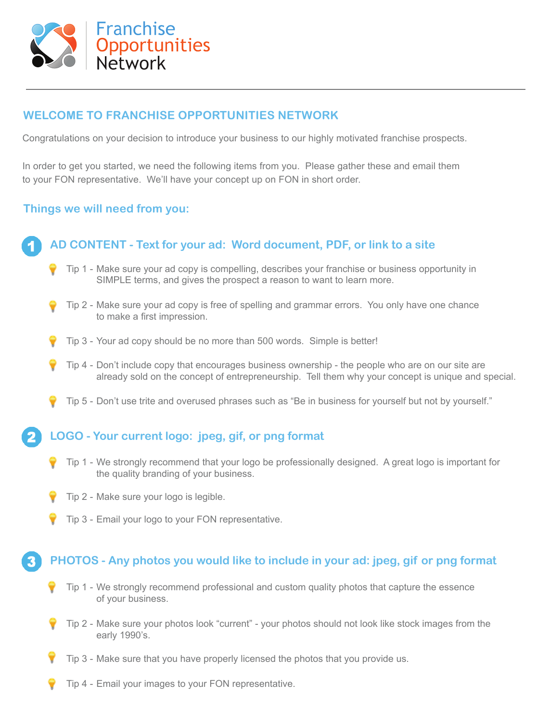

### **WELCOME TO FRANCHISE OPPORTUNITIES NETWORK**

Congratulations on your decision to introduce your business to our highly motivated franchise prospects.

In order to get you started, we need the following items from you. Please gather these and email them to your FON representative. We'll have your concept up on FON in short order.

#### **Things we will need from you:**

## **AD CONTENT - Text for your ad: Word document, PDF, or link to a site**

- Tip 1 Make sure your ad copy is compelling, describes your franchise or business opportunity in SIMPLE terms, and gives the prospect a reason to want to learn more.
- Tip 2 Make sure your ad copy is free of spelling and grammar errors. You only have one chance to make a first impression.
- Tip 3 Your ad copy should be no more than 500 words. Simple is better!
- Tip 4 Don't include copy that encourages business ownership the people who are on our site are already sold on the concept of entrepreneurship. Tell them why your concept is unique and special.
- Tip 5 Don't use trite and overused phrases such as "Be in business for yourself but not by yourself."

#### **LOGO - Your current logo: jpeg, gif, or png format**

- Tip 1 We strongly recommend that your logo be professionally designed. A great logo is important for the quality branding of your business.
- Tip 2 Make sure your logo is legible.
- Tip 3 Email your logo to your FON representative.

#### **PHOTOS - Any photos you would like to include in your ad: jpeg, gif or png format**

- Tip 1 We strongly recommend professional and custom quality photos that capture the essence of your business.
- Tip 2 Make sure your photos look "current" your photos should not look like stock images from the early 1990's.
- Tip 3 Make sure that you have properly licensed the photos that you provide us.
- Tip 4 Email your images to your FON representative.